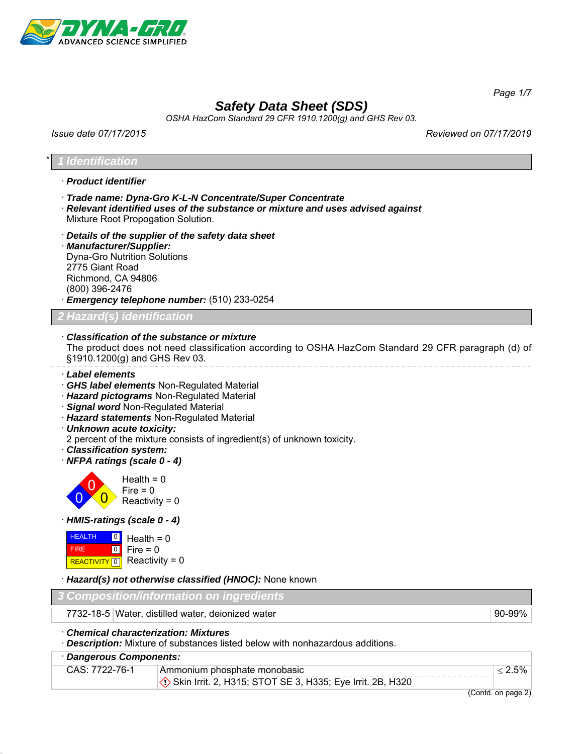

*Page 1/7*

# *Safety Data Sheet (SDS)*

*OSHA HazCom Standard 29 CFR 1910.1200(g) and GHS Rev 03.*

*Issue date 07/17/2015 Reviewed on 07/17/2019*

### \* *1 Identification*

- · *Product identifier*
- · *Trade name: Dyna-Gro K-L-N Concentrate/Super Concentrate*
- · *Relevant identified uses of the substance or mixture and uses advised against* Mixture Root Propogation Solution.
- · *Details of the supplier of the safety data sheet* · *Manufacturer/Supplier:* Dyna-Gro Nutrition Solutions 2775 Giant Road Richmond, CA 94806 (800) 396-2476
- · *Emergency telephone number:* (510) 233-0254

*2 Hazard(s) identification*

### · *Classification of the substance or mixture*

The product does not need classification according to OSHA HazCom Standard 29 CFR paragraph (d) of §1910.1200(g) and GHS Rev 03.

- · *Label elements*
- · *GHS label elements* Non-Regulated Material
- · *Hazard pictograms* Non-Regulated Material
- · *Signal word* Non-Regulated Material
- · *Hazard statements* Non-Regulated Material
- · *Unknown acute toxicity:*
- 2 percent of the mixture consists of ingredient(s) of unknown toxicity.
- · *Classification system:*
- · *NFPA ratings (scale 0 4)*



· *HMIS-ratings (scale 0 - 4)*

| <b>HEALTH</b> | $\frac{0}{1}$ Health = 0    |
|---------------|-----------------------------|
| <b>FIRE</b>   | $ 0 $ Fire = 0              |
|               | REACTIVITY 0 Reactivity = 0 |

· *Hazard(s) not otherwise classified (HNOC):* None known

| 3 Composition/information on ingredients          |  |
|---------------------------------------------------|--|
|                                                   |  |
| 7732-18-5 Water, distilled water, deionized water |  |

· *Chemical characterization: Mixtures*

· *Description:* Mixture of substances listed below with nonhazardous additions.

### · *Dangerous Components:*

| CAS: 7722-76-1 | Ammonium phosphate monobasic                              |  |
|----------------|-----------------------------------------------------------|--|
|                | Skin Irrit. 2, H315; STOT SE 3, H335; Eye Irrit. 2B, H320 |  |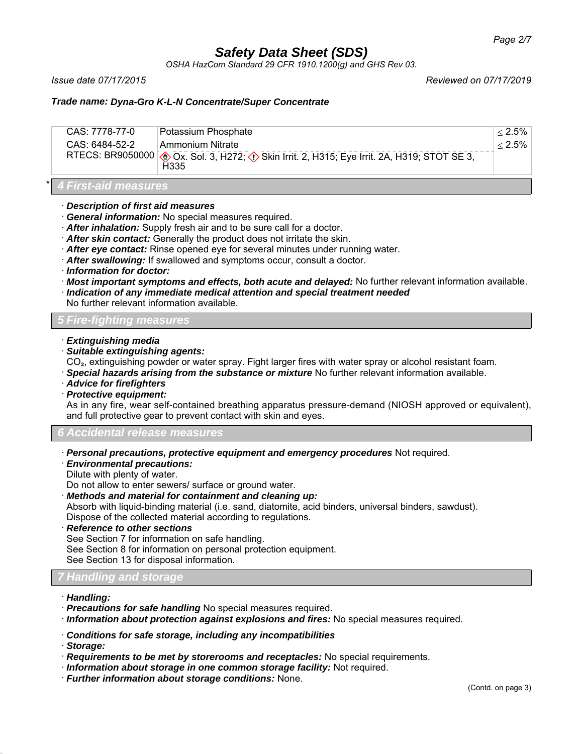*OSHA HazCom Standard 29 CFR 1910.1200(g) and GHS Rev 03.*

*Issue date 07/17/2015 Reviewed on 07/17/2019*

## *Trade name: Dyna-Gro K-L-N Concentrate/Super Concentrate*

| CAS: 6484-52-2<br>⊥Ammonium Nitrate                                                                                     | CAS: 7778-77-0 | Potassium Phosphate | $< 2.5\%$ |
|-------------------------------------------------------------------------------------------------------------------------|----------------|---------------------|-----------|
| RTECS: BR9050000 ( $\bigcirc$ Ox. Sol. 3, H272; $\bigcirc$ Skin Irrit. 2, H315; Eye Irrit. 2A, H319; STOT SE 3,<br>H335 |                |                     | $< 2.5\%$ |

\* *4 First-aid measures*

- · *Description of first aid measures*
- · *General information:* No special measures required.
- · *After inhalation:* Supply fresh air and to be sure call for a doctor.
- · *After skin contact:* Generally the product does not irritate the skin.
- · *After eye contact:* Rinse opened eye for several minutes under running water.
- · *After swallowing:* If swallowed and symptoms occur, consult a doctor.
- · *Information for doctor:*
- · *Most important symptoms and effects, both acute and delayed:* No further relevant information available.
- · *Indication of any immediate medical attention and special treatment needed*

No further relevant information available.

### *5 Fire-fighting measures*

- · *Extinguishing media*
- · *Suitable extinguishing agents:*
- CO₂, extinguishing powder or water spray. Fight larger fires with water spray or alcohol resistant foam.
- · *Special hazards arising from the substance or mixture* No further relevant information available.
- · *Advice for firefighters*
- · *Protective equipment:*

As in any fire, wear self-contained breathing apparatus pressure-demand (NIOSH approved or equivalent), and full protective gear to prevent contact with skin and eyes.

*6 Accidental release measures*

- · *Personal precautions, protective equipment and emergency procedures* Not required.
- · *Environmental precautions:*
- Dilute with plenty of water.

Do not allow to enter sewers/ surface or ground water.

· *Methods and material for containment and cleaning up:*

Absorb with liquid-binding material (i.e. sand, diatomite, acid binders, universal binders, sawdust).

Dispose of the collected material according to regulations.

· *Reference to other sections*

See Section 7 for information on safe handling.

See Section 8 for information on personal protection equipment.

See Section 13 for disposal information.

## *7 Handling and s*

- · *Handling:*
- · *Precautions for safe handling* No special measures required.
- · *Information about protection against explosions and fires:* No special measures required.
- · *Conditions for safe storage, including any incompatibilities*
- · *Storage:*
- · *Requirements to be met by storerooms and receptacles:* No special requirements.
- · *Information about storage in one common storage facility:* Not required.
- · *Further information about storage conditions:* None.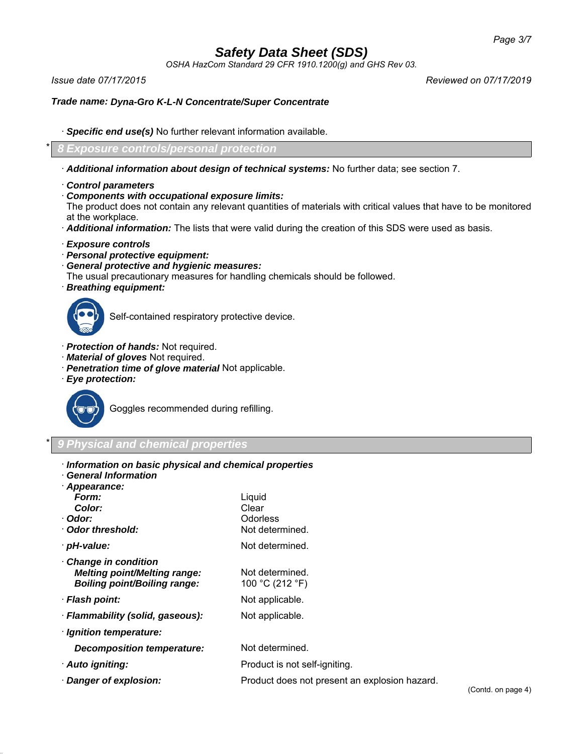*OSHA HazCom Standard 29 CFR 1910.1200(g) and GHS Rev 03.*

*Issue date 07/17/2015 Reviewed on 07/17/2019*

### *Trade name: Dyna-Gro K-L-N Concentrate/Super Concentrate*

· *Specific end use(s)* No further relevant information available.

\* *8 Exposure controls/personal protection*

- · *Additional information about design of technical systems:* No further data; see section 7.
- · *Control parameters*
- · *Components with occupational exposure limits:*

The product does not contain any relevant quantities of materials with critical values that have to be monitored at the workplace.

- · *Additional information:* The lists that were valid during the creation of this SDS were used as basis.
- · *Exposure controls*
- · *Personal protective equipment:*
- · *General protective and hygienic measures:*
- The usual precautionary measures for handling chemicals should be followed.
- · *Breathing equipment:*



Self-contained respiratory protective device.

- · *Protection of hands:* Not required.
- · *Material of gloves* Not required.
- · *Penetration time of glove material* Not applicable.
- · *Eye protection:*



Goggles recommended during refilling.

## \* *9 Physical and chemical properties*

- · *Information on basic physical and chemical properties*
- · *General Information*

| Appearance:                         |                                               |
|-------------------------------------|-----------------------------------------------|
| Form:                               | Liquid                                        |
| Color:                              | Clear                                         |
| · Odor:                             | <b>Odorless</b>                               |
| · Odor threshold:                   | Not determined.                               |
| · pH-value:                         | Not determined.                               |
| Change in condition                 |                                               |
| <b>Melting point/Melting range:</b> | Not determined.                               |
| <b>Boiling point/Boiling range:</b> | 100 °C (212 °F)                               |
| · Flash point:                      | Not applicable.                               |
| · Flammability (solid, gaseous):    | Not applicable.                               |
| · Ignition temperature:             |                                               |
| <b>Decomposition temperature:</b>   | Not determined.                               |
| · Auto igniting:                    | Product is not self-igniting.                 |
| · Danger of explosion:              | Product does not present an explosion hazard. |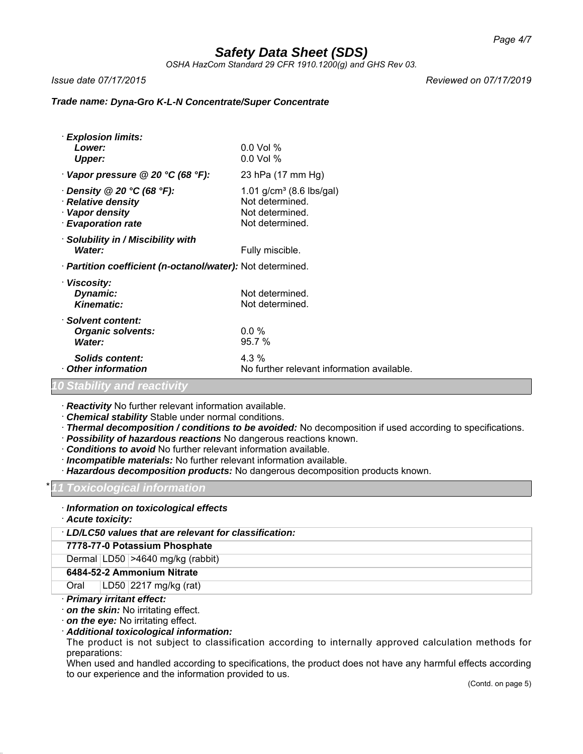*OSHA HazCom Standard 29 CFR 1910.1200(g) and GHS Rev 03.*

*Issue date 07/17/2015 Reviewed on 07/17/2019*

### *Trade name: Dyna-Gro K-L-N Concentrate/Super Concentrate*

| · Explosion limits:                                                    |                                            |
|------------------------------------------------------------------------|--------------------------------------------|
| Lower:                                                                 | $0.0$ Vol %                                |
| <b>Upper:</b>                                                          | $0.0$ Vol $%$                              |
| Vapor pressure @ 20 °C (68 °F):                                        | 23 hPa (17 mm Hg)                          |
| $\cdot$ Density @ 20 °C (68 °F):                                       | 1.01 $g/cm^3$ (8.6 lbs/gal)                |
| · Relative density                                                     | Not determined.                            |
| · Vapor density                                                        | Not determined.                            |
| <b>Evaporation rate</b>                                                | Not determined.                            |
| · Solubility in / Miscibility with                                     |                                            |
| Water:                                                                 | Fully miscible.                            |
| · Partition coefficient (n-octanol/water): Not determined.             |                                            |
| · Viscosity:                                                           |                                            |
| Dynamic:                                                               | Not determined.                            |
| <b>Kinematic:</b>                                                      | Not determined.                            |
| · Solvent content:                                                     |                                            |
| <b>Organic solvents:</b>                                               | $0.0 \%$                                   |
| Water:                                                                 | 95.7 %                                     |
| <b>Solids content:</b>                                                 | 4.3 %                                      |
| Other information                                                      | No further relevant information available. |
| $\bigcap \mathcal{O}$ is a letter of a set of the set of $\mathcal{O}$ |                                            |

*10 Stability and reactivity*

· *Reactivity* No further relevant information available.

· *Chemical stability* Stable under normal conditions.

· *Thermal decomposition / conditions to be avoided:* No decomposition if used according to specifications.

· *Possibility of hazardous reactions* No dangerous reactions known.

· *Conditions to avoid* No further relevant information available.

· *Incompatible materials:* No further relevant information available.

· *Hazardous decomposition products:* No dangerous decomposition products known.

\* *11 Toxicological information*

· *Information on toxicological effects*

· *Acute toxicity:*

· *LD/LC50 values that are relevant for classification:*

### **7778-77-0 Potassium Phosphate**

Dermal LD50 >4640 mg/kg (rabbit)

#### **6484-52-2 Ammonium Nitrate**

Oral LD50 2217 mg/kg (rat)

#### · *Primary irritant effect:*

· *on the skin:* No irritating effect.

· *on the eye:* No irritating effect.

#### · *Additional toxicological information:*

The product is not subject to classification according to internally approved calculation methods for preparations:

When used and handled according to specifications, the product does not have any harmful effects according to our experience and the information provided to us.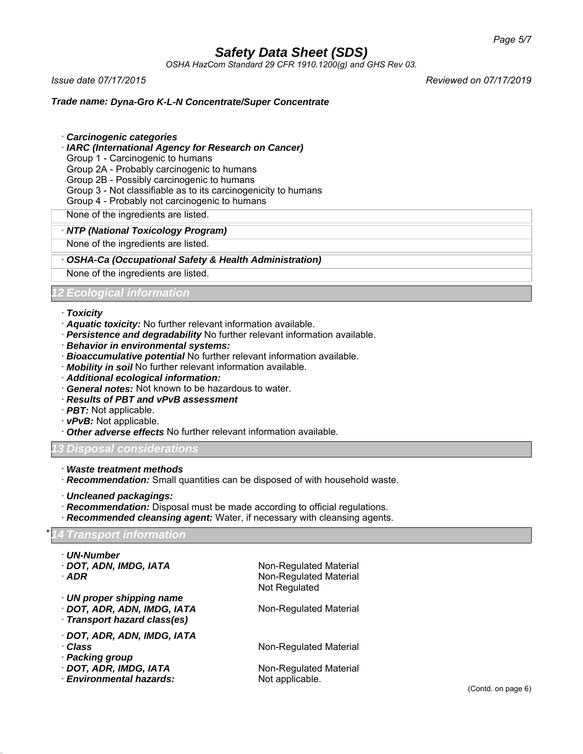*OSHA HazCom Standard 29 CFR 1910.1200(g) and GHS Rev 03.*

*Issue date 07/17/2015 Reviewed on 07/17/2019*

### *Trade name: Dyna-Gro K-L-N Concentrate/Super Concentrate*

· *Carcinogenic categories*

· *IARC (International Agency for Research on Cancer)*

Group 1 - Carcinogenic to humans

Group 2A - Probably carcinogenic to humans

Group 2B - Possibly carcinogenic to humans

Group 3 - Not classifiable as to its carcinogenicity to humans

Group 4 - Probably not carcinogenic to humans

None of the ingredients are listed.

### · *NTP (National Toxicology Program)*

None of the ingredients are listed.

### · *OSHA-Ca (Occupational Safety & Health Administration)*

None of the ingredients are listed.

### *12 Ecological information*

### · *Toxicity*

- · *Aquatic toxicity:* No further relevant information available.
- · *Persistence and degradability* No further relevant information available.
- · *Behavior in environmental systems:*
- · *Bioaccumulative potential* No further relevant information available.
- · *Mobility in soil* No further relevant information available.
- · *Additional ecological information:*
- · *General notes:* Not known to be hazardous to water.
- · *Results of PBT and vPvB assessment*
- · *PBT:* Not applicable.
- · *vPvB:* Not applicable.
- · *Other adverse effects* No further relevant information available.

### *13 Disposal considerations*

- · *Waste treatment methods*
- · *Recommendation:* Small quantities can be disposed of with household waste.
- · *Uncleaned packagings:*
- · *Recommendation:* Disposal must be made according to official regulations.
- · *Recommended cleansing agent:* Water, if necessary with cleansing agents.

### \* *14 Transport information*

| · UN-Number<br>· DOT, ADN, IMDG, IATA<br>$·$ ADR                                                              | Non-Regulated Material<br>Non-Regulated Material<br>Not Regulated   |
|---------------------------------------------------------------------------------------------------------------|---------------------------------------------------------------------|
| $\cdot$ UN proper shipping name<br>· DOT, ADR, ADN, IMDG, IATA<br>Transport hazard class(es)                  | Non-Regulated Material                                              |
| · DOT, ADR, ADN, IMDG, IATA<br>· Class<br>· Packing group<br>DOT, ADR, IMDG, IATA<br>· Environmental hazards: | Non-Regulated Material<br>Non-Regulated Material<br>Not applicable. |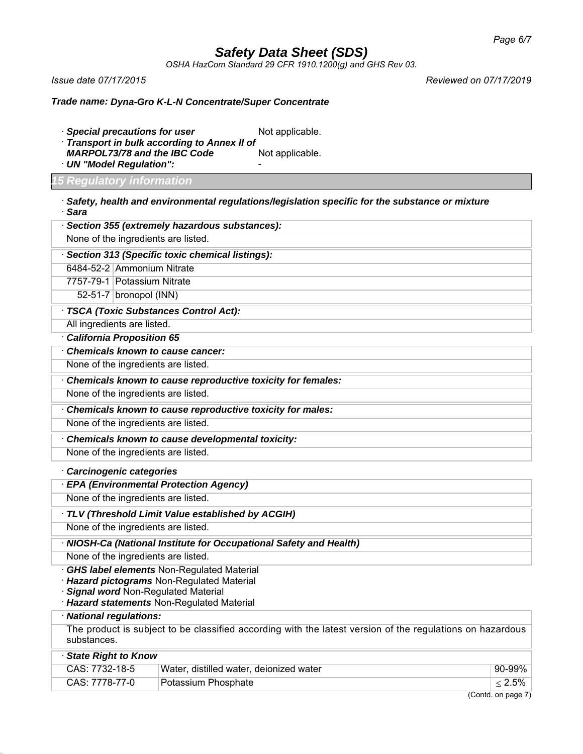*OSHA HazCom Standard 29 CFR 1910.1200(g) and GHS Rev 03.*

*Issue date 07/17/2015 Reviewed on 07/17/2019*

### *Trade name: Dyna-Gro K-L-N Concentrate/Super Concentrate*

- · *Special precautions for user* Not applicable. · *Transport in bulk according to Annex II of*
- *MARPOL73/78 and the IBC Code* Not applicable.
- · *UN "Model Regulation":* -

*15 Regulatory information*

· *Safety, health and environmental regulations/legislation specific for the substance or mixture* · *Sara*

| Section 355 (extremely hazardous substances):               |  |  |  |
|-------------------------------------------------------------|--|--|--|
| None of the ingredients are listed.                         |  |  |  |
| Section 313 (Specific toxic chemical listings):             |  |  |  |
| 6484-52-2 Ammonium Nitrate                                  |  |  |  |
| 7757-79-1 Potassium Nitrate                                 |  |  |  |
| 52-51-7   bronopol (INN)                                    |  |  |  |
| · TSCA (Toxic Substances Control Act):                      |  |  |  |
| All ingredients are listed.                                 |  |  |  |
| <b>California Proposition 65</b>                            |  |  |  |
| <b>Chemicals known to cause cancer:</b>                     |  |  |  |
| None of the ingredients are listed.                         |  |  |  |
| Chemicals known to cause reproductive toxicity for females: |  |  |  |
| None of the ingredients are listed.                         |  |  |  |
| Chemicals known to cause reproductive toxicity for males:   |  |  |  |
| None of the ingredients are listed.                         |  |  |  |
| Chemicals known to cause developmental toxicity:            |  |  |  |
| None of the ingredients are listed.                         |  |  |  |

#### · *Carcinogenic categories*

· *EPA (Environmental Protection Agency)*

None of the ingredients are listed.

· *TLV (Threshold Limit Value established by ACGIH)*

None of the ingredients are listed.

· *NIOSH-Ca (National Institute for Occupational Safety and Health)*

None of the ingredients are listed.

- · *GHS label elements* Non-Regulated Material
- · *Hazard pictograms* Non-Regulated Material
- · *Signal word* Non-Regulated Material
- · *Hazard statements* Non-Regulated Material

· *National regulations:*

The product is subject to be classified according with the latest version of the regulations on hazardous substances.

| State Right to Know |                                         |                              |
|---------------------|-----------------------------------------|------------------------------|
| CAS: 7732-18-5      | Water, distilled water, deionized water | $^{\circ}$ 90-99% $^{\circ}$ |
| CAS: 7778-77-0      | Potassium Phosphate<br>$\sim$           | $^{\circ}$ < 2.5% $^{\circ}$ |